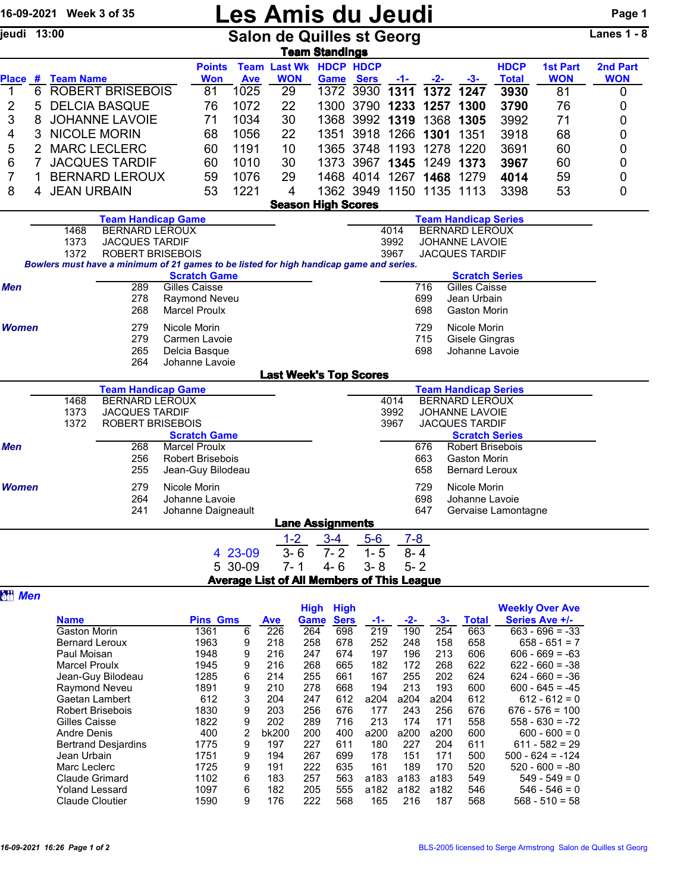|                                                                  |                               | 16-09-2021 Week 3 of 35 |                                                  |                                                                                         |                                                                | <b>Les Amis du Jeudi</b>                    |                                                                |                  |           |                          |                                    |                             |                               | Page 1                 |  |  |
|------------------------------------------------------------------|-------------------------------|-------------------------|--------------------------------------------------|-----------------------------------------------------------------------------------------|----------------------------------------------------------------|---------------------------------------------|----------------------------------------------------------------|------------------|-----------|--------------------------|------------------------------------|-----------------------------|-------------------------------|------------------------|--|--|
| jeudi 13:00                                                      |                               |                         |                                                  |                                                                                         |                                                                |                                             | <b>Salon de Quilles st Georg</b>                               |                  |           |                          |                                    |                             |                               |                        |  |  |
|                                                                  |                               |                         |                                                  |                                                                                         |                                                                |                                             | <b>Team Standings</b>                                          |                  |           |                          |                                    |                             |                               |                        |  |  |
|                                                                  |                               | Place # Team Name       |                                                  | <b>Points</b><br><b>Won</b>                                                             | <b>Ave</b>                                                     | <b>Team Last Wk HDCP HDCP</b><br><b>WON</b> |                                                                | <b>Game Sers</b> | $-1-$     | $-2-$                    | $-3-$                              | <b>HDCP</b><br><b>Total</b> | <b>1st Part</b><br><b>WON</b> | 2nd Part<br><b>WON</b> |  |  |
| 1                                                                | 6                             |                         | <b>ROBERT BRISEBOIS</b>                          | 81                                                                                      | 1025                                                           | 29                                          | 1372                                                           | 3930             | 1311      | 1372                     | 1247                               | 3930                        | 81                            | 0                      |  |  |
| 2                                                                | 5                             |                         | <b>DELCIA BASQUE</b>                             | 76                                                                                      | 1072                                                           | 22                                          |                                                                | 1300 3790 1233   |           | 1257                     | 1300                               | 3790                        | 76                            | 0                      |  |  |
| 3                                                                | 8                             |                         | <b>JOHANNE LAVOIE</b>                            | 71                                                                                      | 1034                                                           | 30                                          |                                                                | 1368 3992 1319   |           | 1368                     | 1305                               | 3992                        | 71                            | 0                      |  |  |
| 4                                                                | 3                             | <b>NICOLE MORIN</b>     |                                                  | 68                                                                                      | 1056                                                           | 22                                          | 1351                                                           |                  | 3918 1266 | 1301                     | 1351                               | 3918                        | 68                            | 0                      |  |  |
| 5                                                                | $\overline{2}$                |                         | <b>MARC LECLERC</b>                              | 60                                                                                      | 1191                                                           | 10                                          |                                                                | 1365 3748 1193   |           | 1278                     | 1220                               | 3691                        | 60                            | 0                      |  |  |
| 6                                                                | $\overline{7}$                |                         | <b>JACQUES TARDIF</b>                            | 60                                                                                      | 1010                                                           | 30                                          |                                                                | 1373 3967 1345   |           | 1249                     | 1373                               | 3967                        | 60                            | 0                      |  |  |
| 7                                                                | 1                             |                         | <b>BERNARD LEROUX</b>                            | 59                                                                                      | 1076                                                           | 29                                          |                                                                |                  |           | 1468 4014 1267 1468 1279 |                                    | 4014                        | 59                            | 0                      |  |  |
| 8                                                                | 4                             | <b>JEAN URBAIN</b>      |                                                  | 53                                                                                      | 1221                                                           | 4                                           |                                                                |                  |           | 1362 3949 1150 1135 1113 |                                    | 3398                        | 53                            | 0                      |  |  |
|                                                                  |                               |                         |                                                  |                                                                                         |                                                                | <b>Season High Scores</b>                   |                                                                |                  |           |                          |                                    |                             |                               |                        |  |  |
|                                                                  | <b>Team Handicap Game</b>     |                         |                                                  |                                                                                         |                                                                |                                             | <b>Team Handicap Series</b>                                    |                  |           |                          |                                    |                             |                               |                        |  |  |
|                                                                  | <b>BERNARD LEROUX</b><br>1468 |                         |                                                  |                                                                                         |                                                                |                                             | <b>BERNARD LEROUX</b><br>4014<br>3992<br><b>JOHANNE LAVOIE</b> |                  |           |                          |                                    |                             |                               |                        |  |  |
| 1373<br><b>JACQUES TARDIF</b><br>1372<br><b>ROBERT BRISEBOIS</b> |                               |                         |                                                  |                                                                                         |                                                                | 3967<br><b>JACQUES TARDIF</b>               |                                                                |                  |           |                          |                                    |                             |                               |                        |  |  |
|                                                                  |                               |                         |                                                  | Bowlers must have a minimum of 21 games to be listed for high handicap game and series. |                                                                |                                             |                                                                |                  |           |                          |                                    |                             |                               |                        |  |  |
|                                                                  |                               |                         |                                                  | <b>Scratch Game</b>                                                                     |                                                                |                                             |                                                                |                  |           |                          | <b>Scratch Series</b>              |                             |                               |                        |  |  |
| <b>Men</b>                                                       |                               |                         | 289                                              | <b>Gilles Caisse</b>                                                                    |                                                                |                                             |                                                                |                  |           | 716                      | <b>Gilles Caisse</b>               |                             |                               |                        |  |  |
|                                                                  |                               |                         | 278<br>268                                       | Raymond Neveu<br><b>Marcel Proulx</b>                                                   |                                                                |                                             |                                                                |                  |           | 699<br>698               | Jean Urbain<br><b>Gaston Morin</b> |                             |                               |                        |  |  |
|                                                                  |                               |                         |                                                  |                                                                                         |                                                                |                                             |                                                                |                  |           |                          |                                    |                             |                               |                        |  |  |
| <b>Women</b>                                                     |                               |                         | 279<br>279                                       | Nicole Morin<br>Carmen Lavoie                                                           |                                                                |                                             |                                                                |                  |           | 729<br>715               | Nicole Morin<br>Gisele Gingras     |                             |                               |                        |  |  |
|                                                                  |                               |                         | 265                                              | Delcia Basque                                                                           |                                                                |                                             |                                                                |                  |           | 698                      | Johanne Lavoie                     |                             |                               |                        |  |  |
|                                                                  |                               |                         | 264                                              | Johanne Lavoie                                                                          |                                                                |                                             |                                                                |                  |           |                          |                                    |                             |                               |                        |  |  |
|                                                                  |                               |                         |                                                  |                                                                                         |                                                                | <b>Last Week's Top Scores</b>               |                                                                |                  |           |                          |                                    |                             |                               |                        |  |  |
|                                                                  |                               |                         | <b>Team Handicap Game</b>                        |                                                                                         |                                                                |                                             |                                                                |                  |           |                          | <b>Team Handicap Series</b>        |                             |                               |                        |  |  |
|                                                                  |                               | 1468                    | <b>BERNARD LEROUX</b>                            |                                                                                         | 4014<br><b>BERNARD LEROUX</b>                                  |                                             |                                                                |                  |           |                          |                                    |                             |                               |                        |  |  |
|                                                                  |                               | 1373<br>1372            | <b>JACQUES TARDIF</b><br><b>ROBERT BRISEBOIS</b> |                                                                                         | 3992<br><b>JOHANNE LAVOIE</b><br>3967<br><b>JACQUES TARDIF</b> |                                             |                                                                |                  |           |                          |                                    |                             |                               |                        |  |  |
|                                                                  |                               |                         |                                                  | <b>Scratch Game</b>                                                                     |                                                                |                                             |                                                                |                  |           |                          | <b>Scratch Series</b>              |                             |                               |                        |  |  |
| Men                                                              |                               |                         | 268                                              | <b>Marcel Proulx</b>                                                                    |                                                                |                                             |                                                                |                  |           | 676                      | <b>Robert Brisebois</b>            |                             |                               |                        |  |  |
|                                                                  |                               |                         | ንፍድ                                              | <b>Dobart Bricaboic</b>                                                                 |                                                                |                                             |                                                                |                  |           | <b>663</b>               | Caston Morin                       |                             |                               |                        |  |  |

| <b>Men</b>   | 268 | <b>Marcel Proulx</b>    |         |                         |         | 676     | <b>Robert Brisebois</b> |  |
|--------------|-----|-------------------------|---------|-------------------------|---------|---------|-------------------------|--|
|              | 256 | <b>Robert Brisebois</b> |         |                         |         | 663     | <b>Gaston Morin</b>     |  |
|              | 255 | Jean-Guy Bilodeau       |         |                         |         | 658     | <b>Bernard Leroux</b>   |  |
| <b>Women</b> | 279 | Nicole Morin            |         |                         |         | 729     | Nicole Morin            |  |
|              | 264 | Johanne Lavoie          |         |                         |         | 698     | Johanne Lavoie          |  |
|              | 241 | Johanne Daigneault      |         |                         |         | 647     | Gervaise Lamontagne     |  |
|              |     |                         |         | <b>Lane Assignments</b> |         |         |                         |  |
|              |     |                         | $1 - 2$ | $3 - 4$                 | $5-6$   | $7 - 8$ |                         |  |
|              |     | 4 23-09                 | $3 - 6$ | 7- 2                    | 1-5     | $8 - 4$ |                         |  |
|              |     | 5 30-09                 | 7- 1    | $4 - 6$                 | $3 - 8$ | $5 - 2$ |                         |  |
|              |     |                         | .       |                         | -----   |         |                         |  |

Average List of All Members of This League

|                            |      |                 |       | <b>High</b> | <b>High</b> |      |       |      |              | <b>Weekly Over Ave</b> |
|----------------------------|------|-----------------|-------|-------------|-------------|------|-------|------|--------------|------------------------|
| <b>Name</b>                |      | <b>Pins Gms</b> |       | Game        | <b>Sers</b> | -1-  | $-2-$ | -3-  | <b>Total</b> | Series Ave +/-         |
| Gaston Morin               | 1361 | 6               | 226   | 264         | 698         | 219  | 190   | 254  | 663          | $663 - 696 = -33$      |
| <b>Bernard Leroux</b>      | 1963 | 9               | 218   | 258         | 678         | 252  | 248   | 158  | 658          | $658 - 651 = 7$        |
| Paul Moisan                | 1948 | 9               | 216   | 247         | 674         | 197  | 196   | 213  | 606          | $606 - 669 = -63$      |
| <b>Marcel Proulx</b>       | 1945 | 9               | 216   | 268         | 665         | 182  | 172   | 268  | 622          | $622 - 660 = -38$      |
| Jean-Guy Bilodeau          | 1285 | 6               | 214   | 255         | 661         | 167  | 255   | 202  | 624          | $624 - 660 = -36$      |
| Raymond Neveu              | 1891 | 9               | 210   | 278         | 668         | 194  | 213   | 193  | 600          | $600 - 645 = -45$      |
| Gaetan Lambert             | 612  | 3               | 204   | 247         | 612         | a204 | a204  | a204 | 612          | $612 - 612 = 0$        |
| Robert Brisebois           | 1830 | 9               | 203   | 256         | 676         | 177  | 243   | 256  | 676          | $676 - 576 = 100$      |
| Gilles Caisse              | 1822 | 9               | 202   | 289         | 716         | 213  | 174   | 171  | 558          | $558 - 630 = -72$      |
| Andre Denis                | 400  | 2               | bk200 | 200         | 400         | a200 | a200  | a200 | 600          | $600 - 600 = 0$        |
| <b>Bertrand Desjardins</b> | 1775 | 9               | 197   | 227         | 611         | 180  | 227   | 204  | 611          | $611 - 582 = 29$       |
| Jean Urbain                | 1751 | 9               | 194   | 267         | 699         | 178  | 151   | 171  | 500          | $500 - 624 = -124$     |
| Marc Leclerc               | 1725 | 9               | 191   | 222         | 635         | 161  | 189   | 170  | 520          | $520 - 600 = -80$      |
| Claude Grimard             | 1102 | 6               | 183   | 257         | 563         | a183 | a183  | a183 | 549          | $549 - 549 = 0$        |
| Yoland Lessard             | 1097 | 6               | 182   | 205         | 555         | a182 | a182  | a182 | 546          | $546 - 546 = 0$        |
| <b>Claude Cloutier</b>     | 1590 | 9               | 176   | 222         | 568         | 165  | 216   | 187  | 568          | $568 - 510 = 58$       |

**a**<sub>*Men*</sub>